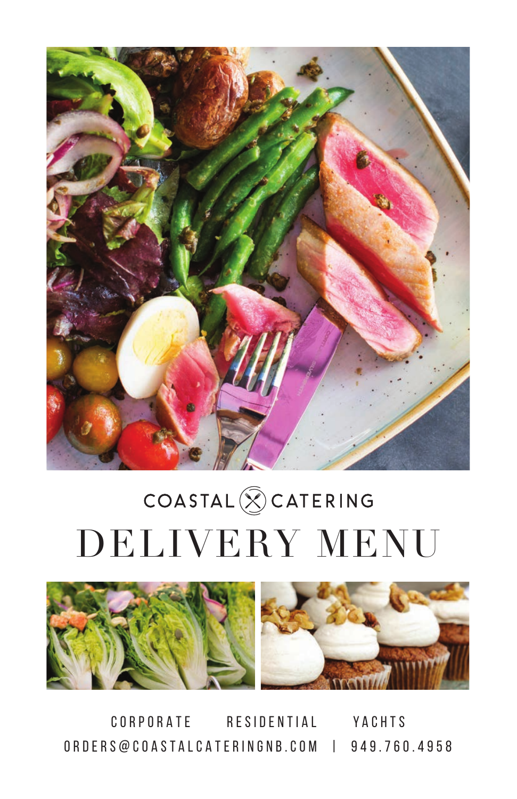

# $\texttt{COASTAL} \bigotimes \texttt{CATERING}$ DELIVERY MENU



CORPORATE RESIDENTIAL YACHTS ORDERS@COASTALCATERINGNB.COM | 949.760.4958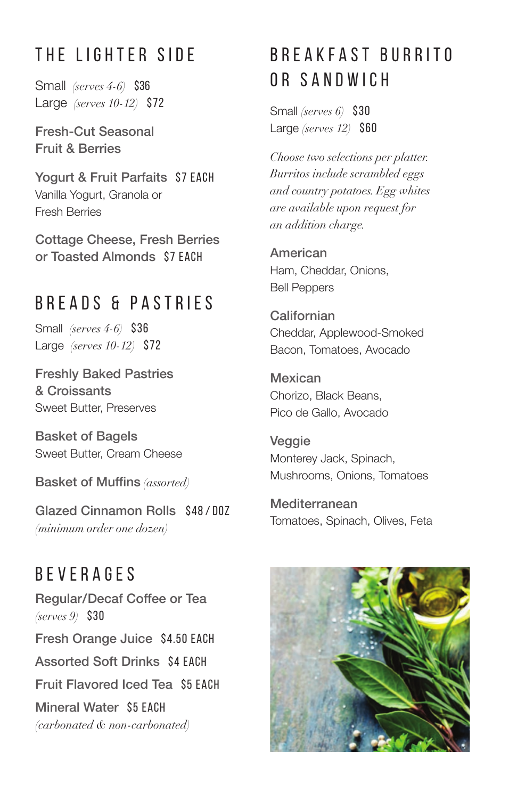## THE LIGHTER SIDE

Small *(serves 4-6)* \$36 Large *(serves 10-12)* \$72

Fresh-Cut Seasonal Fruit & Berries

Yogurt & Fruit Parfaits\$7 EACH Vanilla Yogurt, Granola or Fresh Berries

Cottage Cheese, Fresh Berries or Toasted Almonds\$7 EACH

#### BREADS & PASTRIES

Small *(serves 4-6)* \$36 Large *(serves 10-12)* \$72

Freshly Baked Pastries & Croissants Sweet Butter, Preserves

Basket of Bagels Sweet Butter, Cream Cheese

Basket of Muffins *(assorted)*

Glazed Cinnamon Rolls \$48/D07 *(minimum order one dozen)* 

**BEVERAGES** Regular/Decaf Coffee or Tea *(serves 9)* \$30 Fresh Orange Juice\$4.50 EACH Assorted Soft Drinks\$4 EACH Fruit Flavored Iced Tea\$5 EACH Mineral Water\$5 EACH *(carbonated & non-carbonated)*

# B R E A K F A S T B U R R I T O OR SANDWICH

Small *(serves 6)* \$30 Large *(serves 12)* \$60

*Choose two selections per platter. Burritos include scrambled eggs and country potatoes. Egg whites are available upon request for an addition charge.*

American Ham, Cheddar, Onions, Bell Peppers

**Californian** Cheddar, Applewood-Smoked Bacon, Tomatoes, Avocado

Mexican Chorizo, Black Beans, Pico de Gallo, Avocado

Veggie Monterey Jack, Spinach, Mushrooms, Onions, Tomatoes

Mediterranean Tomatoes, Spinach, Olives, Feta

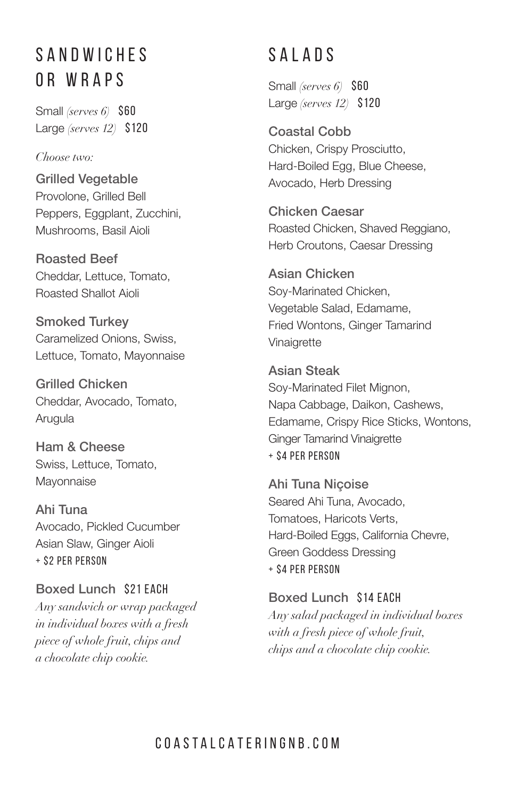#### S A N D W I C H F S OR WRAPS

Small *(serves 6)* \$60 Large *(serves 12)* \$120

#### *Choose two:*

Grilled Vegetable Provolone, Grilled Bell Peppers, Eggplant, Zucchini, Mushrooms, Basil Aioli

Roasted Beef Cheddar, Lettuce, Tomato, Roasted Shallot Aioli

Smoked Turkey Caramelized Onions, Swiss, Lettuce, Tomato, Mayonnaise

Grilled Chicken Cheddar, Avocado, Tomato, Arugula

Ham & Cheese Swiss, Lettuce, Tomato, Mayonnaise

Ahi Tuna Avocado, Pickled Cucumber Asian Slaw, Ginger Aioli + \$2 PER PERSON

Boxed Lunch \$21 EACH *Any sandwich or wrap packaged in individual boxes with a fresh piece of whole fruit, chips and a chocolate chip cookie.*

## SALADS

Small *(serves 6)* \$60 Large *(serves 12)* \$120

Coastal Cobb Chicken, Crispy Prosciutto, Hard-Boiled Egg, Blue Cheese, Avocado, Herb Dressing

Chicken Caesar Roasted Chicken, Shaved Reggiano, Herb Croutons, Caesar Dressing

Asian Chicken Soy-Marinated Chicken, Vegetable Salad, Edamame, Fried Wontons, Ginger Tamarind Vinaigrette

Asian Steak Soy-Marinated Filet Mignon, Napa Cabbage, Daikon, Cashews, Edamame, Crispy Rice Sticks, Wontons, Ginger Tamarind Vinaigrette + \$4 PER PERSON

Ahi Tuna Niçoise Seared Ahi Tuna, Avocado, Tomatoes, Haricots Verts, Hard-Boiled Eggs, California Chevre, Green Goddess Dressing + \$4 PER PERSON

Boxed Lunch\$14 EACH *Any salad packaged in individual boxes with a fresh piece of whole fruit, chips and a chocolate chip cookie.*